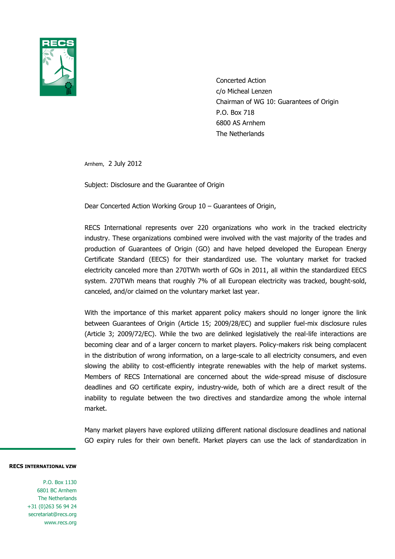

Concerted Action c/o Micheal Lenzen Chairman of WG 10: Guarantees of Origin P.O. Box 718 6800 AS Arnhem The Netherlands

Arnhem, 2 July 2012

Subject: Disclosure and the Guarantee of Origin

Dear Concerted Action Working Group 10 – Guarantees of Origin,

RECS International represents over 220 organizations who work in the tracked electricity industry. These organizations combined were involved with the vast majority of the trades and production of Guarantees of Origin (GO) and have helped developed the European Energy Certificate Standard (EECS) for their standardized use. The voluntary market for tracked electricity canceled more than 270TWh worth of GOs in 2011, all within the standardized EECS system. 270TWh means that roughly 7% of all European electricity was tracked, bought-sold, canceled, and/or claimed on the voluntary market last year.

With the importance of this market apparent policy makers should no longer ignore the link between Guarantees of Origin (Article 15; 2009/28/EC) and supplier fuel-mix disclosure rules (Article 3; 2009/72/EC). While the two are delinked legislatively the real-life interactions are becoming clear and of a larger concern to market players. Policy-makers risk being complacent in the distribution of wrong information, on a large-scale to all electricity consumers, and even slowing the ability to cost-efficiently integrate renewables with the help of market systems. Members of RECS International are concerned about the wide-spread misuse of disclosure deadlines and GO certificate expiry, industry-wide, both of which are a direct result of the inability to regulate between the two directives and standardize among the whole internal market.

Many market players have explored utilizing different national disclosure deadlines and national GO expiry rules for their own benefit. Market players can use the lack of standardization in

## **RECS INTERNATIONAL VZW**

P.O. Box 1130 6801 BC Arnhem The Netherlands +31 (0)263 56 94 24 secretariat@recs.org www.recs.org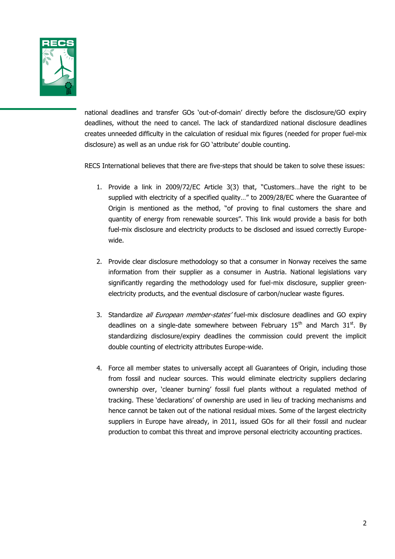

national deadlines and transfer GOs 'out-of-domain' directly before the disclosure/GO expiry deadlines, without the need to cancel. The lack of standardized national disclosure deadlines creates unneeded difficulty in the calculation of residual mix figures (needed for proper fuel-mix disclosure) as well as an undue risk for GO 'attribute' double counting.

RECS International believes that there are five-steps that should be taken to solve these issues:

- 1. Provide a link in 2009/72/EC Article 3(3) that, "Customers…have the right to be supplied with electricity of a specified quality…" to 2009/28/EC where the Guarantee of Origin is mentioned as the method, "of proving to final customers the share and quantity of energy from renewable sources". This link would provide a basis for both fuel-mix disclosure and electricity products to be disclosed and issued correctly Europewide.
- 2. Provide clear disclosure methodology so that a consumer in Norway receives the same information from their supplier as a consumer in Austria. National legislations vary significantly regarding the methodology used for fuel-mix disclosure, supplier greenelectricity products, and the eventual disclosure of carbon/nuclear waste figures.
- 3. Standardize *all European member-states'* fuel-mix disclosure deadlines and GO expiry deadlines on a single-date somewhere between February  $15<sup>th</sup>$  and March  $31<sup>st</sup>$ . By standardizing disclosure/expiry deadlines the commission could prevent the implicit double counting of electricity attributes Europe-wide.
- 4. Force all member states to universally accept all Guarantees of Origin, including those from fossil and nuclear sources. This would eliminate electricity suppliers declaring ownership over, 'cleaner burning' fossil fuel plants without a regulated method of tracking. These 'declarations' of ownership are used in lieu of tracking mechanisms and hence cannot be taken out of the national residual mixes. Some of the largest electricity suppliers in Europe have already, in 2011, issued GOs for all their fossil and nuclear production to combat this threat and improve personal electricity accounting practices.